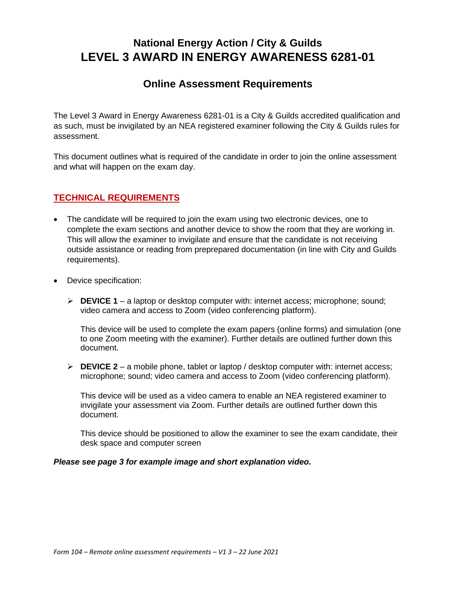# **National Energy Action / City & Guilds LEVEL 3 AWARD IN ENERGY AWARENESS 6281-01**

## **Online Assessment Requirements**

The Level 3 Award in Energy Awareness 6281-01 is a City & Guilds accredited qualification and as such, must be invigilated by an NEA registered examiner following the City & Guilds rules for assessment.

This document outlines what is required of the candidate in order to join the online assessment and what will happen on the exam day.

## **TECHNICAL REQUIREMENTS**

- The candidate will be required to join the exam using two electronic devices, one to complete the exam sections and another device to show the room that they are working in. This will allow the examiner to invigilate and ensure that the candidate is not receiving outside assistance or reading from preprepared documentation (in line with City and Guilds requirements).
- Device specification:
	- ➢ **DEVICE 1** a laptop or desktop computer with: internet access; microphone; sound; video camera and access to Zoom (video conferencing platform).

This device will be used to complete the exam papers (online forms) and simulation (one to one Zoom meeting with the examiner). Further details are outlined further down this document.

➢ **DEVICE 2** – a mobile phone, tablet or laptop / desktop computer with: internet access; microphone; sound; video camera and access to Zoom (video conferencing platform).

This device will be used as a video camera to enable an NEA registered examiner to invigilate your assessment via Zoom. Further details are outlined further down this document.

This device should be positioned to allow the examiner to see the exam candidate, their desk space and computer screen

#### *Please see page 3 for example image and short explanation video.*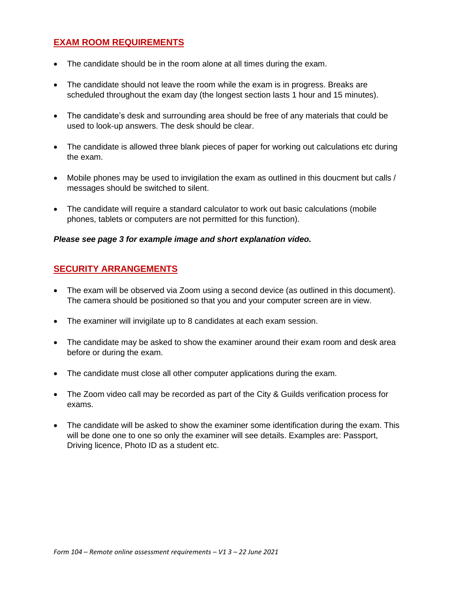## **EXAM ROOM REQUIREMENTS**

- The candidate should be in the room alone at all times during the exam.
- The candidate should not leave the room while the exam is in progress. Breaks are scheduled throughout the exam day (the longest section lasts 1 hour and 15 minutes).
- The candidate's desk and surrounding area should be free of any materials that could be used to look-up answers. The desk should be clear.
- The candidate is allowed three blank pieces of paper for working out calculations etc during the exam.
- Mobile phones may be used to invigilation the exam as outlined in this doucment but calls / messages should be switched to silent.
- The candidate will require a standard calculator to work out basic calculations (mobile phones, tablets or computers are not permitted for this function).

#### *Please see page 3 for example image and short explanation video.*

#### **SECURITY ARRANGEMENTS**

- The exam will be observed via Zoom using a second device (as outlined in this document). The camera should be positioned so that you and your computer screen are in view.
- The examiner will invigilate up to 8 candidates at each exam session.
- The candidate may be asked to show the examiner around their exam room and desk area before or during the exam.
- The candidate must close all other computer applications during the exam.
- The Zoom video call may be recorded as part of the City & Guilds verification process for exams.
- The candidate will be asked to show the examiner some identification during the exam. This will be done one to one so only the examiner will see details. Examples are: Passport, Driving licence, Photo ID as a student etc.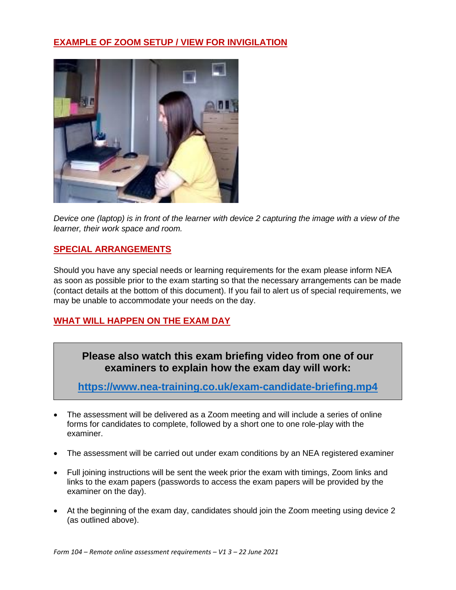## **EXAMPLE OF ZOOM SETUP / VIEW FOR INVIGILATION**



*Device one (laptop) is in front of the learner with device 2 capturing the image with a view of the learner, their work space and room.*

## **SPECIAL ARRANGEMENTS**

Should you have any special needs or learning requirements for the exam please inform NEA as soon as possible prior to the exam starting so that the necessary arrangements can be made (contact details at the bottom of this document). If you fail to alert us of special requirements, we may be unable to accommodate your needs on the day.

## **WHAT WILL HAPPEN ON THE EXAM DAY**

## **Please also watch this exam briefing video from one of our examiners to explain how the exam day will work:**

**<https://www.nea-training.co.uk/exam-candidate-briefing.mp4>**

- The assessment will be delivered as a Zoom meeting and will include a series of online forms for candidates to complete, followed by a short one to one role-play with the examiner.
- The assessment will be carried out under exam conditions by an NEA registered examiner
- Full joining instructions will be sent the week prior the exam with timings, Zoom links and links to the exam papers (passwords to access the exam papers will be provided by the examiner on the day).
- At the beginning of the exam day, candidates should join the Zoom meeting using device 2 (as outlined above).